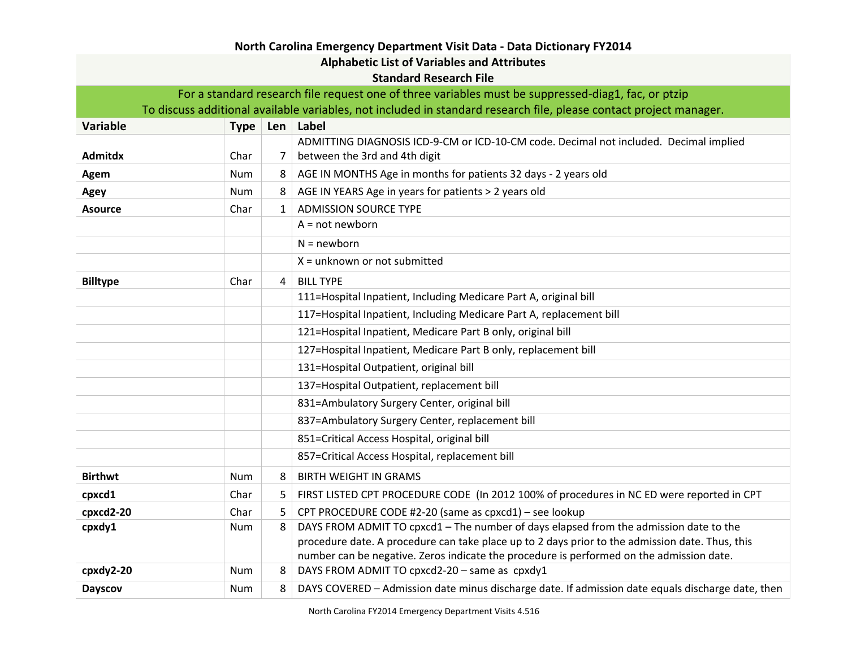| North Carolina Emergency Department Visit Data - Data Dictionary FY2014                                            |            |   |                                                                                                   |  |  |  |  |
|--------------------------------------------------------------------------------------------------------------------|------------|---|---------------------------------------------------------------------------------------------------|--|--|--|--|
| <b>Alphabetic List of Variables and Attributes</b>                                                                 |            |   |                                                                                                   |  |  |  |  |
| <b>Standard Research File</b>                                                                                      |            |   |                                                                                                   |  |  |  |  |
| For a standard research file request one of three variables must be suppressed-diag1, fac, or ptzip                |            |   |                                                                                                   |  |  |  |  |
| To discuss additional available variables, not included in standard research file, please contact project manager. |            |   |                                                                                                   |  |  |  |  |
| Variable                                                                                                           |            |   | Type Len Label                                                                                    |  |  |  |  |
|                                                                                                                    |            |   | ADMITTING DIAGNOSIS ICD-9-CM or ICD-10-CM code. Decimal not included. Decimal implied             |  |  |  |  |
| <b>Admitdx</b>                                                                                                     | Char       | 7 | between the 3rd and 4th digit                                                                     |  |  |  |  |
| Agem                                                                                                               | Num        | 8 | AGE IN MONTHS Age in months for patients 32 days - 2 years old                                    |  |  |  |  |
| Agey                                                                                                               | Num        | 8 | AGE IN YEARS Age in years for patients > 2 years old                                              |  |  |  |  |
| <b>Asource</b>                                                                                                     | Char       | 1 | <b>ADMISSION SOURCE TYPE</b>                                                                      |  |  |  |  |
|                                                                                                                    |            |   | $A = not newborn$                                                                                 |  |  |  |  |
|                                                                                                                    |            |   | $N = newborn$                                                                                     |  |  |  |  |
|                                                                                                                    |            |   | $X =$ unknown or not submitted                                                                    |  |  |  |  |
| <b>Billtype</b>                                                                                                    | Char       | 4 | <b>BILL TYPE</b>                                                                                  |  |  |  |  |
|                                                                                                                    |            |   | 111=Hospital Inpatient, Including Medicare Part A, original bill                                  |  |  |  |  |
|                                                                                                                    |            |   | 117=Hospital Inpatient, Including Medicare Part A, replacement bill                               |  |  |  |  |
|                                                                                                                    |            |   | 121=Hospital Inpatient, Medicare Part B only, original bill                                       |  |  |  |  |
|                                                                                                                    |            |   | 127=Hospital Inpatient, Medicare Part B only, replacement bill                                    |  |  |  |  |
|                                                                                                                    |            |   | 131=Hospital Outpatient, original bill                                                            |  |  |  |  |
|                                                                                                                    |            |   | 137=Hospital Outpatient, replacement bill                                                         |  |  |  |  |
|                                                                                                                    |            |   | 831=Ambulatory Surgery Center, original bill                                                      |  |  |  |  |
|                                                                                                                    |            |   | 837=Ambulatory Surgery Center, replacement bill                                                   |  |  |  |  |
|                                                                                                                    |            |   | 851=Critical Access Hospital, original bill                                                       |  |  |  |  |
|                                                                                                                    |            |   | 857=Critical Access Hospital, replacement bill                                                    |  |  |  |  |
| <b>Birthwt</b>                                                                                                     | Num        | 8 | <b>BIRTH WEIGHT IN GRAMS</b>                                                                      |  |  |  |  |
| cpxcd1                                                                                                             | Char       | 5 | FIRST LISTED CPT PROCEDURE CODE (In 2012 100% of procedures in NC ED were reported in CPT         |  |  |  |  |
| cpxcd2-20                                                                                                          | Char       | 5 | CPT PROCEDURE CODE #2-20 (same as cpxcd1) - see lookup                                            |  |  |  |  |
| cpxdy1                                                                                                             | Num        | 8 | DAYS FROM ADMIT TO cpxcd1 - The number of days elapsed from the admission date to the             |  |  |  |  |
|                                                                                                                    |            |   | procedure date. A procedure can take place up to 2 days prior to the admission date. Thus, this   |  |  |  |  |
|                                                                                                                    |            |   | number can be negative. Zeros indicate the procedure is performed on the admission date.          |  |  |  |  |
| cpxdy2-20                                                                                                          | <b>Num</b> | 8 | DAYS FROM ADMIT TO cpxcd2-20 - same as cpxdy1                                                     |  |  |  |  |
| <b>Dayscov</b>                                                                                                     | <b>Num</b> | 8 | DAYS COVERED - Admission date minus discharge date. If admission date equals discharge date, then |  |  |  |  |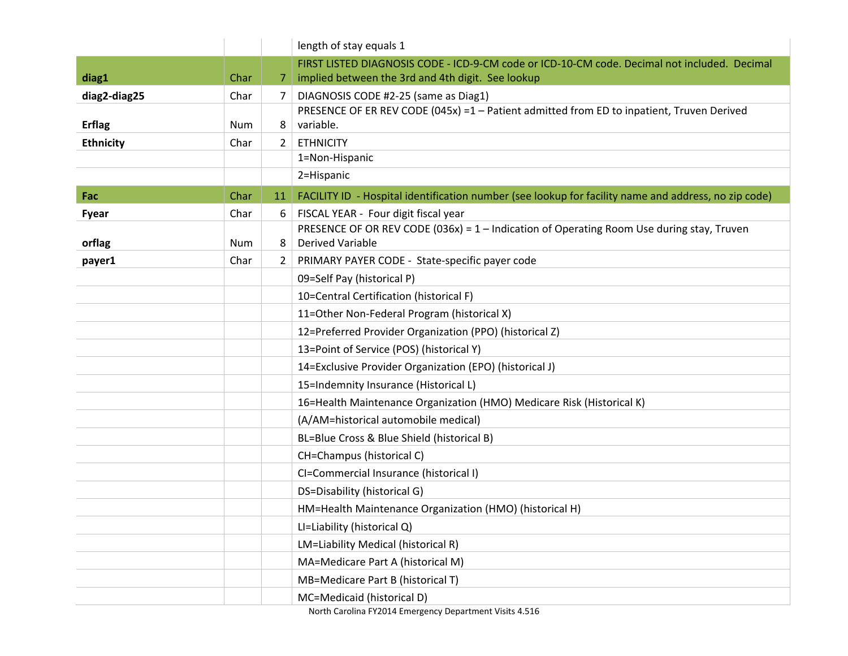|                  |      |    | length of stay equals 1                                                                              |
|------------------|------|----|------------------------------------------------------------------------------------------------------|
|                  |      |    | FIRST LISTED DIAGNOSIS CODE - ICD-9-CM code or ICD-10-CM code. Decimal not included. Decimal         |
| diag1            | Char | 7  | implied between the 3rd and 4th digit. See lookup                                                    |
| diag2-diag25     | Char | 7  | DIAGNOSIS CODE #2-25 (same as Diag1)                                                                 |
|                  |      |    | PRESENCE OF ER REV CODE (045x) =1 - Patient admitted from ED to inpatient, Truven Derived            |
| <b>Erflag</b>    | Num  | 8  | variable.                                                                                            |
| <b>Ethnicity</b> | Char | 2  | <b>ETHNICITY</b>                                                                                     |
|                  |      |    | 1=Non-Hispanic                                                                                       |
|                  |      |    | 2=Hispanic                                                                                           |
| Fac              | Char | 11 | FACILITY ID - Hospital identification number (see lookup for facility name and address, no zip code) |
| Fyear            | Char | 6  | FISCAL YEAR - Four digit fiscal year                                                                 |
|                  |      |    | PRESENCE OF OR REV CODE $(036x) = 1 -$ Indication of Operating Room Use during stay, Truven          |
| orflag           | Num  | 8  | <b>Derived Variable</b>                                                                              |
| payer1           | Char | 2  | PRIMARY PAYER CODE - State-specific payer code                                                       |
|                  |      |    | 09=Self Pay (historical P)                                                                           |
|                  |      |    | 10=Central Certification (historical F)                                                              |
|                  |      |    | 11=Other Non-Federal Program (historical X)                                                          |
|                  |      |    | 12=Preferred Provider Organization (PPO) (historical Z)                                              |
|                  |      |    | 13=Point of Service (POS) (historical Y)                                                             |
|                  |      |    | 14=Exclusive Provider Organization (EPO) (historical J)                                              |
|                  |      |    | 15=Indemnity Insurance (Historical L)                                                                |
|                  |      |    | 16=Health Maintenance Organization (HMO) Medicare Risk (Historical K)                                |
|                  |      |    | (A/AM=historical automobile medical)                                                                 |
|                  |      |    | BL=Blue Cross & Blue Shield (historical B)                                                           |
|                  |      |    | CH=Champus (historical C)                                                                            |
|                  |      |    | CI=Commercial Insurance (historical I)                                                               |
|                  |      |    | DS=Disability (historical G)                                                                         |
|                  |      |    | HM=Health Maintenance Organization (HMO) (historical H)                                              |
|                  |      |    | LI=Liability (historical Q)                                                                          |
|                  |      |    | LM=Liability Medical (historical R)                                                                  |
|                  |      |    | MA=Medicare Part A (historical M)                                                                    |
|                  |      |    | MB=Medicare Part B (historical T)                                                                    |
|                  |      |    | MC=Medicaid (historical D)                                                                           |

North Carolina FY2014 Emergency Department Visits 4.516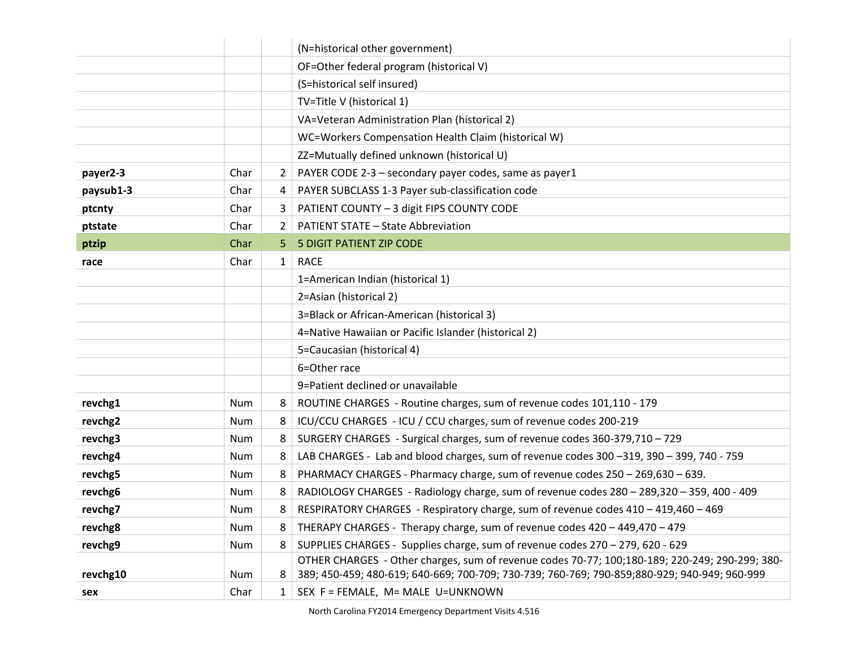|           |            |                | (N=historical other government)                                                                |
|-----------|------------|----------------|------------------------------------------------------------------------------------------------|
|           |            |                | OF=Other federal program (historical V)                                                        |
|           |            |                | (S=historical self insured)                                                                    |
|           |            |                | TV=Title V (historical 1)                                                                      |
|           |            |                | VA=Veteran Administration Plan (historical 2)                                                  |
|           |            |                | WC=Workers Compensation Health Claim (historical W)                                            |
|           |            |                | ZZ=Mutually defined unknown (historical U)                                                     |
| payer2-3  | Char       | $\overline{2}$ | PAYER CODE 2-3 - secondary payer codes, same as payer1                                         |
| paysub1-3 | Char       | 4              | PAYER SUBCLASS 1-3 Payer sub-classification code                                               |
| ptcnty    | Char       | 3              | PATIENT COUNTY - 3 digit FIPS COUNTY CODE                                                      |
| ptstate   | Char       | 2              | <b>PATIENT STATE - State Abbreviation</b>                                                      |
| ptzip     | Char       | 5              | 5 DIGIT PATIENT ZIP CODE                                                                       |
| race      | Char       | $\mathbf{1}$   | <b>RACE</b>                                                                                    |
|           |            |                | 1=American Indian (historical 1)                                                               |
|           |            |                | 2=Asian (historical 2)                                                                         |
|           |            |                | 3=Black or African-American (historical 3)                                                     |
|           |            |                | 4=Native Hawaiian or Pacific Islander (historical 2)                                           |
|           |            |                | 5=Caucasian (historical 4)                                                                     |
|           |            |                | 6=Other race                                                                                   |
|           |            |                | 9=Patient declined or unavailable                                                              |
| revchg1   | Num        | 8              | ROUTINE CHARGES - Routine charges, sum of revenue codes 101,110 - 179                          |
| revchg2   | Num        | 8              | ICU/CCU CHARGES - ICU / CCU charges, sum of revenue codes 200-219                              |
| revchg3   | <b>Num</b> | 8              | SURGERY CHARGES - Surgical charges, sum of revenue codes 360-379,710 - 729                     |
| revchg4   | Num        | 8              | LAB CHARGES - Lab and blood charges, sum of revenue codes 300 -319, 390 - 399, 740 - 759       |
| revchg5   | Num        | 8              | PHARMACY CHARGES - Pharmacy charge, sum of revenue codes 250 - 269,630 - 639.                  |
| revchg6   | Num        | 8              | RADIOLOGY CHARGES - Radiology charge, sum of revenue codes 280 - 289,320 - 359, 400 - 409      |
| revchg7   | Num        | 8              | RESPIRATORY CHARGES - Respiratory charge, sum of revenue codes 410 - 419,460 - 469             |
| revchg8   | Num        | 8              | THERAPY CHARGES - Therapy charge, sum of revenue codes 420 - 449,470 - 479                     |
| revchg9   | Num        | 8              | SUPPLIES CHARGES - Supplies charge, sum of revenue codes 270 - 279, 620 - 629                  |
|           |            |                | OTHER CHARGES - Other charges, sum of revenue codes 70-77; 100;180-189; 220-249; 290-299; 380- |
| revchg10  | Num        | 8              | 389; 450-459; 480-619; 640-669; 700-709; 730-739; 760-769; 790-859; 880-929; 940-949; 960-999  |
| sex       | Char       | 1              | SEX F = FEMALE, M= MALE U=UNKNOWN                                                              |

North Carolina FY2014 Emergency Department Visits 4.516